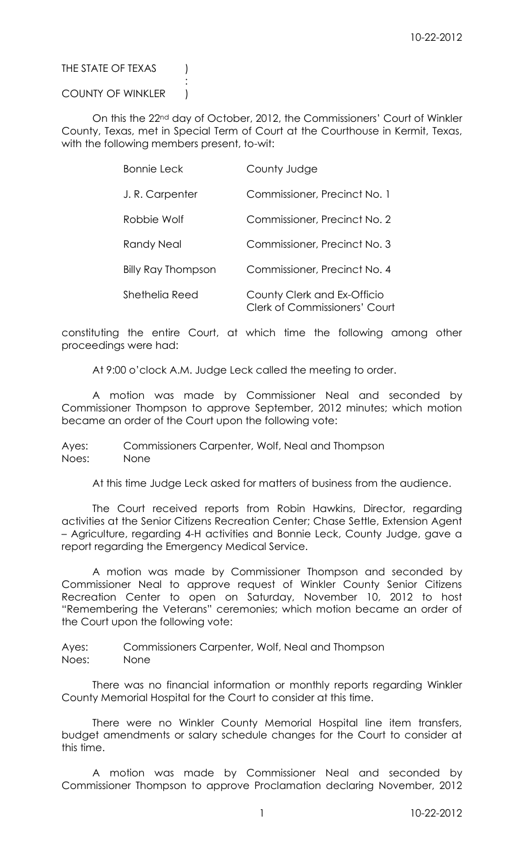# THE STATE OF TEXAS (

# COUNTY OF WINKLER )

:

On this the 22nd day of October, 2012, the Commissioners' Court of Winkler County, Texas, met in Special Term of Court at the Courthouse in Kermit, Texas, with the following members present, to-wit:

| <b>Bonnie Leck</b>        | County Judge                                                        |
|---------------------------|---------------------------------------------------------------------|
| J.R. Carpenter            | Commissioner, Precinct No. 1                                        |
| Robbie Wolf               | Commissioner, Precinct No. 2                                        |
| Randy Neal                | Commissioner, Precinct No. 3                                        |
| <b>Billy Ray Thompson</b> | Commissioner, Precinct No. 4                                        |
| Shethelia Reed            | County Clerk and Ex-Officio<br><b>Clerk of Commissioners' Court</b> |

constituting the entire Court, at which time the following among other proceedings were had:

At 9:00 o'clock A.M. Judge Leck called the meeting to order.

A motion was made by Commissioner Neal and seconded by Commissioner Thompson to approve September, 2012 minutes; which motion became an order of the Court upon the following vote:

Ayes: Commissioners Carpenter, Wolf, Neal and Thompson Noes: None

At this time Judge Leck asked for matters of business from the audience.

The Court received reports from Robin Hawkins, Director, regarding activities at the Senior Citizens Recreation Center; Chase Settle, Extension Agent – Agriculture, regarding 4-H activities and Bonnie Leck, County Judge, gave a report regarding the Emergency Medical Service.

A motion was made by Commissioner Thompson and seconded by Commissioner Neal to approve request of Winkler County Senior Citizens Recreation Center to open on Saturday, November 10, 2012 to host "Remembering the Veterans" ceremonies; which motion became an order of the Court upon the following vote:

Ayes: Commissioners Carpenter, Wolf, Neal and Thompson Noes: None

There was no financial information or monthly reports regarding Winkler County Memorial Hospital for the Court to consider at this time.

There were no Winkler County Memorial Hospital line item transfers, budget amendments or salary schedule changes for the Court to consider at this time.

A motion was made by Commissioner Neal and seconded by Commissioner Thompson to approve Proclamation declaring November, 2012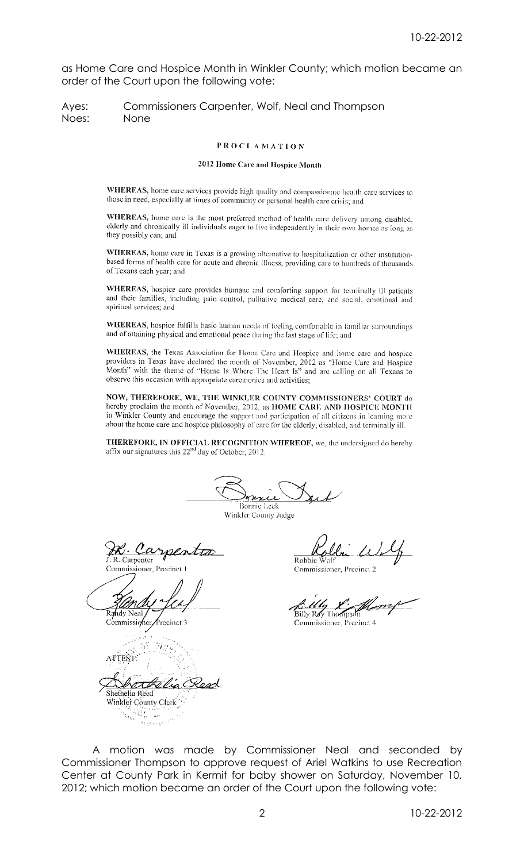as Home Care and Hospice Month in Winkler County; which motion became an order of the Court upon the following vote:

Ayes: Commissioners Carpenter, Wolf, Neal and Thompson Noes: None

## **PROCLAMATION**

## 2012 Home Care and Hospice Month

WHEREAS, home care services provide high quality and compassionate health care services to those in need, especially at times of community or personal health care crisis; and

WHEREAS, home care is the most preferred method of health care delivery among disabled, elderly and chronically ill individuals eager to live independently in their own homes as long as they possibly can; and

WHEREAS, home care in Texas is a growing alternative to hospitalization or other institutionbased forms of health care for acute and chronic illness, providing care to hundreds of thousands of Texans each year; and

WHEREAS, hospice care provides humane and comforting support for terminally ill patients and their families, including pain control, palliative medical care, and social, emotional and spiritual services; and

WHEREAS, hospice fulfills basic human needs of feeling comfortable in familiar surroundings and of attaining physical and emotional peace during the last stage of life; and

WHEREAS, the Texas Association for Home Care and Hospice and home care and hospice providers in Texas have declared the month of November, 2012 as "Home Care and Hospice Month" with the theme of "Home Is Where The Heart Is" and are calling on all Texans to observe this occasion with appropriate ceremonics and activities;

NOW, THEREFORE, WE, THE WINKLER COUNTY COMMISSIONERS' COURT do hereby proclaim the month of November, 2012, as HOME CARE AND HOSPICE MONTH in Winkler County and encourage the support and participation of all citizens in learning more about the home care and hospice philosophy of care for the elderly, disabled, and terminally ill.

THEREFORE, IN OFFICIAL RECOGNITION WHEREOF, we, the undersigned do hereby affix our signatures this 22<sup>nd</sup> day of October, 2012.

nni Bonnie Leck

Winkler County Judge

Carpentes R. Carpenter

Commissioner, Precinct 1

hdv Neal

Commissioner Precinct 3



Robbie

Commissioner, Precinct 2

Billv R⊿G Thom

Commissioner, Precinct 4

A motion was made by Commissioner Neal and seconded by Commissioner Thompson to approve request of Ariel Watkins to use Recreation Center at County Park in Kermit for baby shower on Saturday, November 10, 2012; which motion became an order of the Court upon the following vote: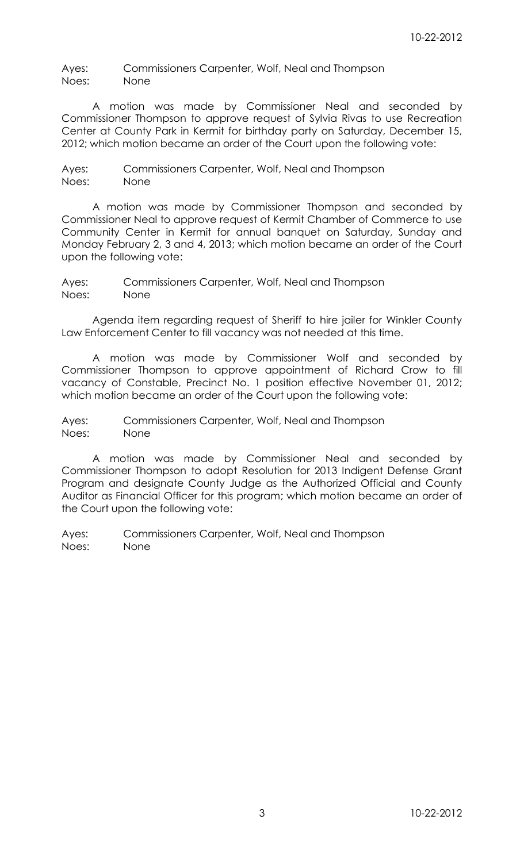Ayes: Commissioners Carpenter, Wolf, Neal and Thompson Noes: None

A motion was made by Commissioner Neal and seconded by Commissioner Thompson to approve request of Sylvia Rivas to use Recreation Center at County Park in Kermit for birthday party on Saturday, December 15, 2012; which motion became an order of the Court upon the following vote:

Ayes: Commissioners Carpenter, Wolf, Neal and Thompson Noes: None

A motion was made by Commissioner Thompson and seconded by Commissioner Neal to approve request of Kermit Chamber of Commerce to use Community Center in Kermit for annual banquet on Saturday, Sunday and Monday February 2, 3 and 4, 2013; which motion became an order of the Court upon the following vote:

Ayes: Commissioners Carpenter, Wolf, Neal and Thompson Noes: None

Agenda item regarding request of Sheriff to hire jailer for Winkler County Law Enforcement Center to fill vacancy was not needed at this time.

A motion was made by Commissioner Wolf and seconded by Commissioner Thompson to approve appointment of Richard Crow to fill vacancy of Constable, Precinct No. 1 position effective November 01, 2012; which motion became an order of the Court upon the following vote:

Ayes: Commissioners Carpenter, Wolf, Neal and Thompson Noes: None

A motion was made by Commissioner Neal and seconded by Commissioner Thompson to adopt Resolution for 2013 Indigent Defense Grant Program and designate County Judge as the Authorized Official and County Auditor as Financial Officer for this program; which motion became an order of the Court upon the following vote: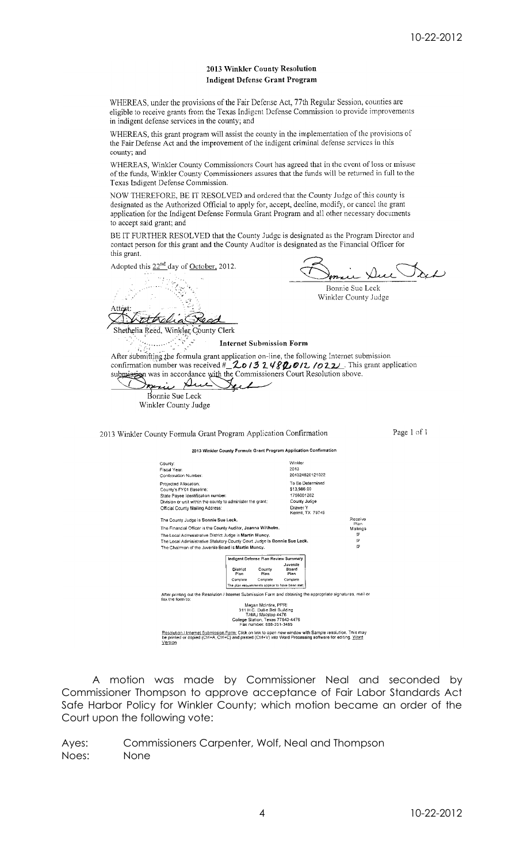# 2013 Winkler County Resolution **Indigent Defense Grant Program**

WHEREAS, under the provisions of the Fair Defense Act, 77th Regular Session, counties are eligible to receive grants from the Texas Indigent Defense Commission to provide improvements in indigent defense services in the county; and

WHEREAS, this grant program will assist the county in the implementation of the provisions of the Fair Defense Act and the improvement of the indigent criminal defense services in this county; and

WHEREAS, Winkler County Commissioners Court has agreed that in the event of loss or misuse of the funds, Winkler County Commissioners assures that the funds will be returned in full to the Texas Indigent Defense Commission.

NOW THEREFORE, BE IT RESOLVED and ordered that the County Judge of this county is designated as the Authorized Official to apply for, accept, decline, modify, or cancel the grant application for the Indigent Defense Formula Grant Program and all other necessary documents to accept said grant; and

BE IT FURTHER RESOLVED that the County Judge is designated as the Program Director and contact person for this grant and the County Auditor is designated as the Financial Officer for this grant.

Adopted this 22<sup>nd</sup> day of October, 2012.

 $\sim$  , mui Bonnie Sue Leck Winkler County Judge Attes attrolia Shethelia Reed, Winkler County Clerk Ŷ. **Internet Submission Form** After submitting the formula grant application on-line, the following Internet submission confirmation number was received  $\#\_\mathcal{LO}$  /3  $2.48\%$  0/2 /022. This grant application submission was in accordance with the Commissioners Court Resolution above. pari De પ∠  $\mathcal{L}$ Bonnie Sue Leck Winkler County Judge

2013 Winkler County Formula Grant Program Application Confirmation

Page 1 of 1



A motion was made by Commissioner Neal and seconded by Commissioner Thompson to approve acceptance of Fair Labor Standards Act Safe Harbor Policy for Winkler County; which motion became an order of the Court upon the following vote: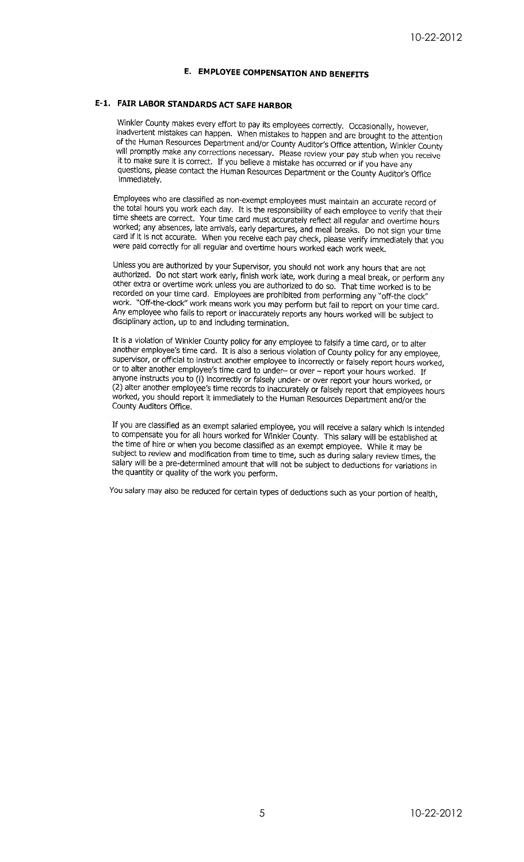# E. EMPLOYEE COMPENSATION AND BENEFITS

# E-1. FAIR LABOR STANDARDS ACT SAFE HARBOR

Winkler County makes every effort to pay its employees correctly. Occasionally, however, Transfer county makes every enore to pay its employees correctly. Occasionally, however,<br>inadvertent mistakes can happen. When mistakes to happen and are brought to the attention of the Human Resources Department and/or County Auditor's Office attention, Winkler County<br>will promote Department and/or County Auditor's Office attention, Winkler County or the Human Resources Beparament and/or County Additor's Uffice attention, Winkler County<br>will promptly make any corrections necessary. Please review your pay stub when you receive it to make sure it is correct. If you believe a mistake has occurred or if you have any questions, please contact the Human Resources Department or the County Auditor's Office immediately.

Employees who are classified as non-exempt employees must maintain an accurate record of the total hours you work each day. It is the responsibility of each employee to verify that their time sheets are correct. Your time card must accurately reflect all regular and overtime hours worked; any absences, late arrivals, early departures, and meal breaks. Do not sign your time contract, any assences, are anivais, early departments, and meal breaks. Do not sign your time<br>card if it is not accurate. When you receive each pay check, please verify immediately that you were paid correctly for all regular and overtime hours worked each work week.

Unless you are authorized by your Supervisor, you should not work any hours that are not oness you are authorized by your supervisor, you should not work any hours that are not<br>authorized. Do not start work early, finish work late, work during a meal break, or perform any<br>other extra or overtime work unless yo other extra or overtime work unless you are authorized to do so. That time worked is to be recorded on your time work unless you are authorized to do so. That time worked is to be<br>recorded on your time card. Employees are prohibited from performing any "off-the clock" work. "Off-the-clock" work means work you may perform but fail to report on your time card. Any employee who fails to report or inaccurately reports any hours worked will be subject to disciplinary action, up to and including termination.

It is a violation of Winkler County policy for any employee to falsify a time card, or to alter another employee's time card. It is also a serious violation of County policy for any employee's time card. It<br>also a serious violation of County policy for any employee, supervisor, or official to instruct another employee to incorrectly or falsely report hours worked, or to alter another employee's time card to under- or over - report your hours worked. If anyone instructs you to (i) incorrectly or falsely under- or over report your hours worked, or (2) alter another employee's time records to inaccurately or falsely report that employees hours (=) then through employee's time records to inaccurately or raisely report that employees r<br>worked, you should report it immediately to the Human Resources Department and/or the County Auditors Office.

If you are classified as an exempt salaried employee, you will receive a salary which is intended to compensate you for all hours worked for Winkler County. This salary will be established at<br>to compensate you for all hours worked for Winkler County. This salary will be established at the time of hire or when you become classified as an exempt employee. While it may be subject to review and modification from time to time, such as during salary review times, the salary will be a pre-determined amount that will not be subject to deductions for variations in the quantity or quality of the work you perform.

You salary may also be reduced for certain types of deductions such as your portion of health,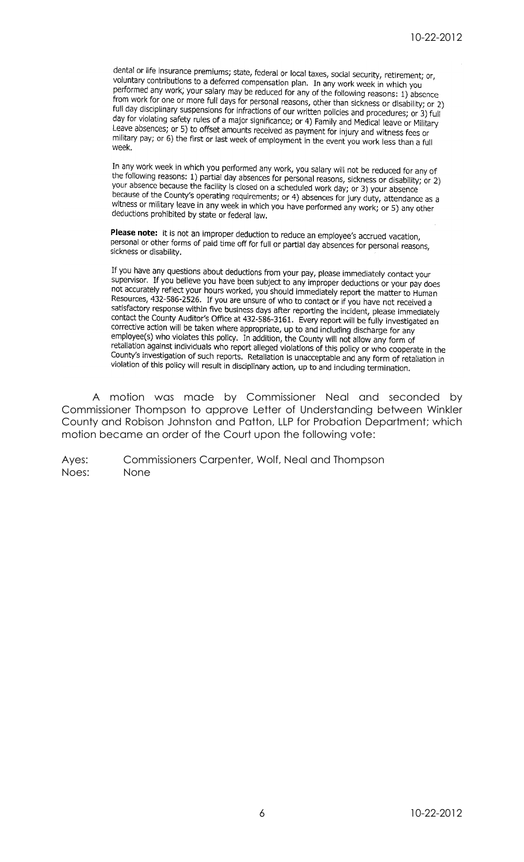dental or life insurance premiums; state, federal or local taxes, social security, retirement; or, voluntary contributions to a deferred compensation plan. In any work week in which you<br>nerformed any work vour calony contributions to a deferred compensation plan. In any work week in which you performed any work, your salary may be reduced for any of the following reasons: 1) absence from work for one or more full days for personal reasons, other than sickness or disability; or 2) full day disciplinary suspensions for infractions of our written policies and procedures; or 3) full<br>full day disciplinary suspensions for infractions of our written policies and procedures; or 3) full day for violating safety rules of a major significance; or 4) Family and Medical leave or Military Leave absences; or 5) to offset amounts received as payment for injury and witness fees or The contract of the first or last week of employment in the event you work less than a full<br>military pay; or 6) the first or last week of employment in the event you work less than a full week

In any work week in which you performed any work, you salary will not be reduced for any of the following reasons: 1) partial day absences for personal reasons, sickness or disability; or 2) your absence because the facility is closed on a scheduled work day; or 3) your absence<br>hocause the facility is closed on a scheduled work day; or 3) your absence because of the County's personal scheduled work day; or 3) your absence<br>witness or military logical in a scheduled work day; or 3) your absence<br>witness or military logic in a surface discussed on 4) absences for jury duty, witness or military leave in any week in which you have performed any work; or 5) any other deductions prohibited by state or federal law.

**Please note:** it is not an improper deduction to reduce an employee's accrued vacation, personal or other forms of paid time off for full or partial day absences for personal reasons, sickness or disability.

If you have any questions about deductions from your pay, please immediately contact your supervisor. If you believe you have been subject to any improper deductions or your pay does not accurately reflect your hours worked, you should immediately report the matter to Human Resources, 432-586-2526. If you are unsure of who to contact or if you have not received a satisfactory response within five business days after reporting the incident, please immediately contact the County Auditor's Office at 432-586-3161. Every report will be fully investigated an connective action will be talked a system where appropriate, up to and including discharge for any amployee's cition will be taken where appropriate, up to and including discharge for any employee(s) who violates this policy. In addition, the County will not allow any form of retaliation against individuals who report alleged violations of this policy or who cooperate in the County's investigation of such reports. Retaliation is unacceptable and any form of retaliation in violation of this policy will result in disciplinary action, up to and including termination.

A motion was made by Commissioner Neal and seconded by Commissioner Thompson to approve Letter of Understanding between Winkler County and Robison Johnston and Patton, LLP for Probation Department; which motion became an order of the Court upon the following vote: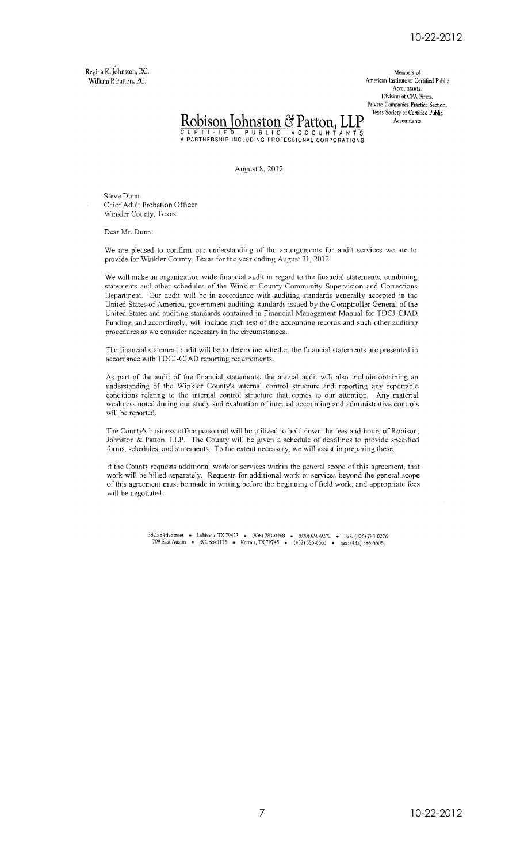Regina K. Johnston, P.C. William P. Patton, P.C.

Members of American Institute of Certified Public Accountants, Division of CPA Firms, Private Companies Practice Section, Texas Society of Certified Public Accountants



August 8, 2012

Steve Dunn Chief Adult Probation Officer Winkler County, Texas

Dear Mr. Dunn:

We are pleased to confirm our understanding of the arrangements for audit services we are to provide for Winkler County, Texas for the year ending August 31, 2012.

We will make an organization-wide financial audit in regard to the financial statements, combining statements and other schedules of the Winkler County Community Supervision and Corrections Department. Our audit will be in accordance with auditing standards generally accepted in the United States of America, government auditing standards issued by the Comptroller General of the United States and auditing standards contained in Financial Management Manual for TDCJ-CJAD Funding, and accordingly, will include such test of the accounting records and such other auditing procedures as we consider necessary in the circumstances.

The financial statement audit will be to determine whether the financial statements are presented in accordance with TDCJ-CJAD reporting requirements.

As part of the audit of the financial statements, the annual audit will also include obtaining an understanding of the Winkler County's internal control structure and reporting any reportable conditions relating to the internal control structure that comes to our attention. Any material weakness noted during our study and evaluation of internal accounting and administrative controls will be reported.

The County's business office personnel will be utilized to hold down the fees and hours of Robison, Johnston & Patton, LLP. The County will be given a schedule of deadlines to provide specified forms, schedules, and statements. To the extent necessary, we will assist in preparing these.

If the County requests additional work or services within the general scope of this agreement, that work will be billed separately. Requests for additional work or services beyond the general scope of this agreement must be made in writing before the beginning of field work, and appropriate fees will be negotiated.

3823 84th Street • Lubbock, TX 79423 • (806) 783-0268 • (800) 658-9272 • Fax: (806) 783-0276<br>709 East Austin • P.O. Box1175 • Kermit, TX 79745 • (432) 586-6663 • Fax: (432) 586-5506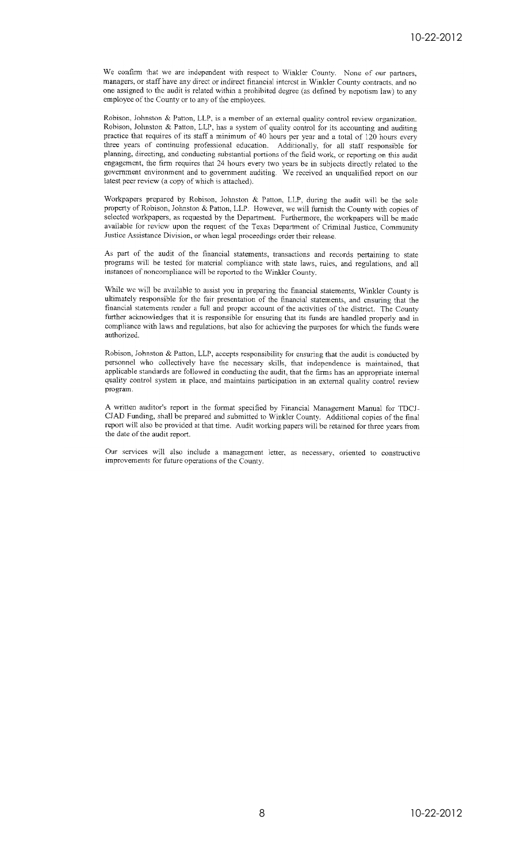We confirm that we are independent with respect to Winkler County. None of our partners, managers, or staff have any direct or indirect financial interest in Winkler County contracts, and no one assigned to the audit is related within a prohibited degree (as defined by nepotism law) to any employee of the County or to any of the employees.

Robison, Johnston & Patton, LLP, is a member of an external quality control review organization. Robison, Johnston & Patton, LLP, has a system of quality control for its accounting and auditing practice that requires of its staff a minimum of 40 hours per year and a total of 120 hours every three years of continuing professional education. Additionally, for all staff responsible for planning, directing, and conducting substantial portions of the field work, or reporting on this audit engagement, the firm requires that 24 hours every two years be in subjects directly related to the government environment and to government auditing. We received an unqualified report on our latest peer review (a copy of which is attached).

Workpapers prepared by Robison, Johnston & Patton, LLP, during the audit will be the sole property of Robison, Johnston & Patton, LLP. However, we will furnish the County with copies of selected workpapers, as requested by the Department. Furthermore, the workpapers will be made available for review upon the request of the Texas Department of Criminal Justice, Community Justice Assistance Division, or when legal proceedings order their release.

As part of the audit of the financial statements, transactions and records pertaining to state programs will be tested for material compliance with state laws, rules, and regulations, and all instances of noncompliance will be reported to the Winkler County.

While we will be available to assist you in preparing the financial statements, Winkler County is ultimately responsible for the fair presentation of the financial statements, and cnsuring that the financial statements render a full and proper account of the activities of the district. The County further acknowledges that it is responsible for ensuring that its funds are handled properly and in compliance with laws and regulations, but also for achieving the purposes for which the funds were authorized.

Robison, Johnston & Patton, LLP, accepts responsibility for ensuring that the audit is conducted by personnel who collectively have the necessary skills, that independence is maintained, that applicable standards are followed in conducting the audit, that the firms has an appropriate internal quality control system in place, and maintains participation in an external quality control review program.

A written auditor's report in the format specified by Financial Management Manual for TDCJ-CJAD Funding, shall be prepared and submitted to Winkler County. Additional copies of the final report will also be provided at that time. Audit working papers will be retained for three years from the date of the audit report.

Our services will also include a management letter, as necessary, oriented to constructive improvements for future operations of the County.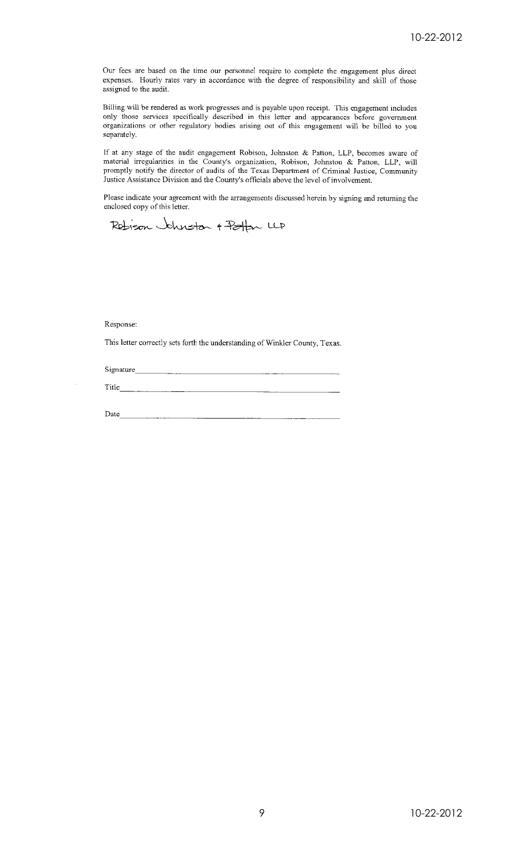Our fees are based on the time our personnel require to complete the engagement plus direct expenses. Hourly rates vary in accordance with the degree of responsibility and skill of those assigned to the audit.

Billing will be rendered as work progresses and is payable upon receipt. This engagement includes only those services specifically described in this letter and appearances before government organizations or other regulatory bodies arising out of this engagement will be billed to you separately.

If at any stage of the audit engagement Robison, Johnston & Patton, LLP, becomes aware of material irregularities in the County's organization, Robison, Johnston & Patton, LLP, will promptly notify the director of audits of the Texas Department of Criminal Justice, Community Justice Assistance Division and the County's officials above the level of involvement.

Please indicate your agreement with the arrangements discussed herein by signing and returning the enclosed copy of this letter.

Redison Johnston + Poton LLP

## Response:

This letter correctly sets forth the understanding of Winkler County, Texas.

Signature 

Date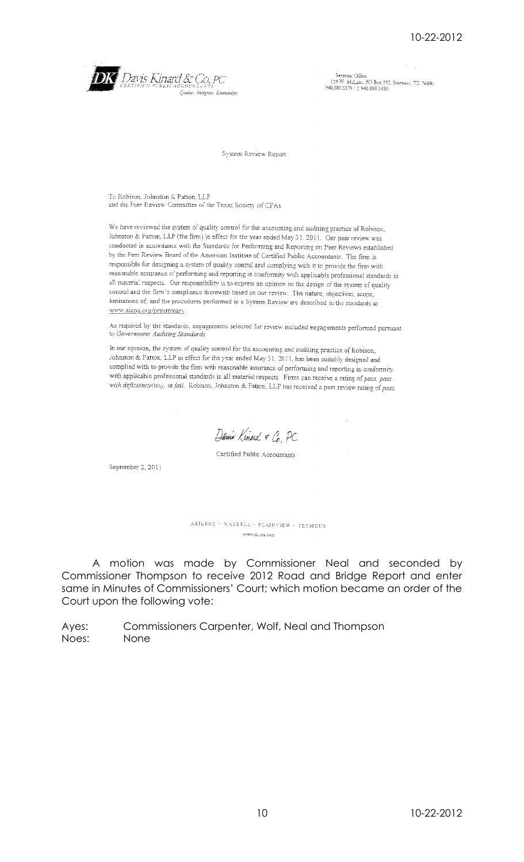

Seymour Office<br>119 W. McLain, PO Box 592, Seymour, TX 76380<br>940.888.5539 / 5 940.888.5450

System Review Report

To Robison, Johnston & Patton, LLP and the Peer Review Committee of the Texas Society of CPAs

We have reviewed the system of quality control for the accounting and auditing practice of Robison, Johnston & Patton, LLP (the firm) in effect for the year ended May 31, 2011. Our peer review was conducted in accordance with the Standards for Performing and Reporting on Peer Reviews established by the Peer Review Board of the American Institute of Certified Public Accountants. The firm is responsible for designing a system of quality control and complying with it to provide the firm with reasonable assurance of performing and reporting in conformity with applicable professional standards in all material respects. Our responsibility is to express an opinion on the design of the system of quality control and the firm's compliance therewith based on our review. The nature, objectives, scope, limitations of, and the procedures performed in a System Review are described in the standards at www.aicpa.org/prsummary

As required by the standards, engagements selected for review included engagements performed pursuant to Government Auditing Standards

In our opinion, the system of quality control for the accounting and auditing practice of Robison, Johnston & Patton. LLP in effect for the year ended May 31. 2011, has been suitably designed and complied with to provide the firm with reasonable assurance of performing and reporting in conformity with applicable professional standards in all material respects. Firms can receive a rating of pass, pass with deficiency(ies), or fail. Robison, Johnston & Patton. LLP has received a peer review rating of pass.

Danie Kinard & Co, PC

Certified Public Accountants

September 2, 2011

ABILENE · HASKELI · PLAINVIEW · CEYMOUR www.di.coa.com

A motion was made by Commissioner Neal and seconded by Commissioner Thompson to receive 2012 Road and Bridge Report and enter same in Minutes of Commissioners' Court; which motion became an order of the Court upon the following vote: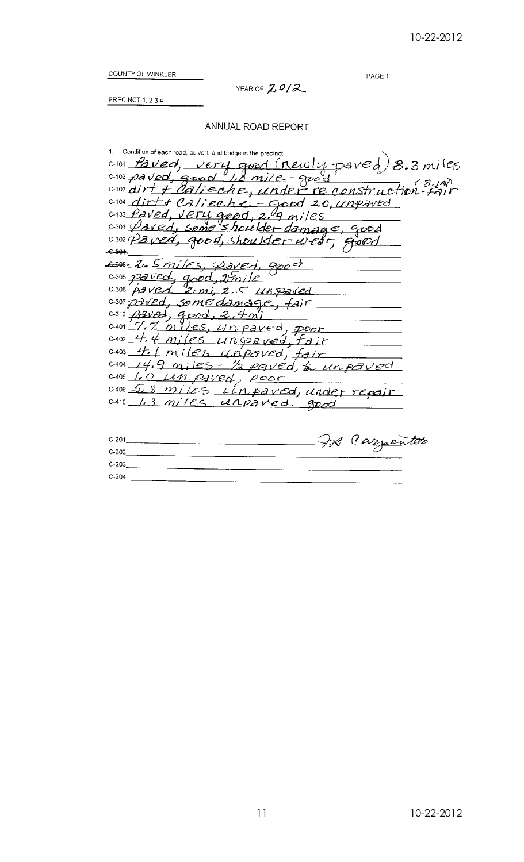PAGE 1

COUNTY OF WINKLER

YEAR OF 2012

PRECINCT 1, 234

# ANNUAL ROAD REPORT

1. Condition of each road, culvert, and bridge in the precinct: 0-101 Paved, very good (newly paved) 8.3 miles<br>0-102 paved, good 1.0 mile - good<br>0-103 dirt + Calieche, under re construction - fair 8.3 miles 0-104 dirty calierhe. - Good 2.0, unpaved C-133 Paved, very good, 2.9 miles  $shout$ lder damage, good  $0.301$   $Q$  aved, some C-302 Paved, good, shoulder wedr, giond Som Z. Smiles, Pared.  $900 - 7$  $0.305$  paved, good, 2mile C-306 paved 2 mi, 2.5 unpaved C-307 paved, some damage, fair  $0.313 \rho$ zved, good, 2,4 mi 7.7 miles, un paved  $C-401$ poor c-402 4.4 miles unipaved, fair  $C-403$ 4.1 miles unpaved, fair 0.404 14.9 miles - 1/2 paved, & un paved C-405 1.0 LM paved, poor 0.409 5, 8 miles L'inpared, under repair 0.410 1.3 miles unpared. good In Carrenter  $C_{201}$ 

| u-zui   | -- | Cazsentor |  |
|---------|----|-----------|--|
| $C-202$ |    |           |  |
| $C-203$ |    |           |  |
| $C-204$ |    |           |  |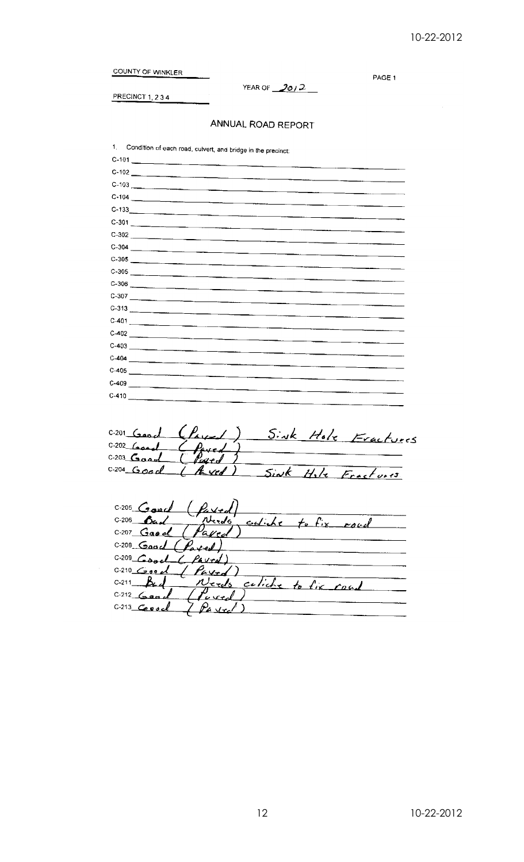COUNTY OF WINKLER

PRECINCT  $1, 2, 3, 4$ 

YEAR OF  $\frac{2012}{20}$ 

PAGE 1

# ANNUAL ROAD REPORT

1. Condition of each road, culvert, and bridge in the precinct:

| $C-101$                 |
|-------------------------|
| $C-102$                 |
| $C-103$                 |
| $C-104$                 |
| $C-133$                 |
| $C-301$                 |
| $C-302$                 |
|                         |
| $C-305$                 |
| $C-305$                 |
| $C-306$                 |
| $C-307$                 |
| $C-313$ $\qquad \qquad$ |
| $C-401$                 |
|                         |
| $C-403$                 |
|                         |
|                         |
|                         |
|                         |
|                         |

Sink Hole Fractures  $(P_{\text{aver}})$  $C-201$   $G$  $C-202$   $G$  $C-203$  Good ued  $0.204$  Good  $A$  ved) <u>Sink </u>  $\sqrt{2}$  $Hile$   $Frast fori.$ 

 $C-205$   $G$ ouch  $C-206$ Bad rheeds <u>culibe</u>  $f_{\alpha}$ ,  $f_{ix}$ roud  $C-207$  Gas of aved C-208 Good (Parted)  $C-209$  Cool Parced)  $C-210$   $C$  00 0 Pared  $C-211$ Be d <u>Nerds</u> culiche  $t$ *b*  $f_{iK}$ coal  $C-212$   $Gensa$ aved  $C-213$  Cevel Pavrel €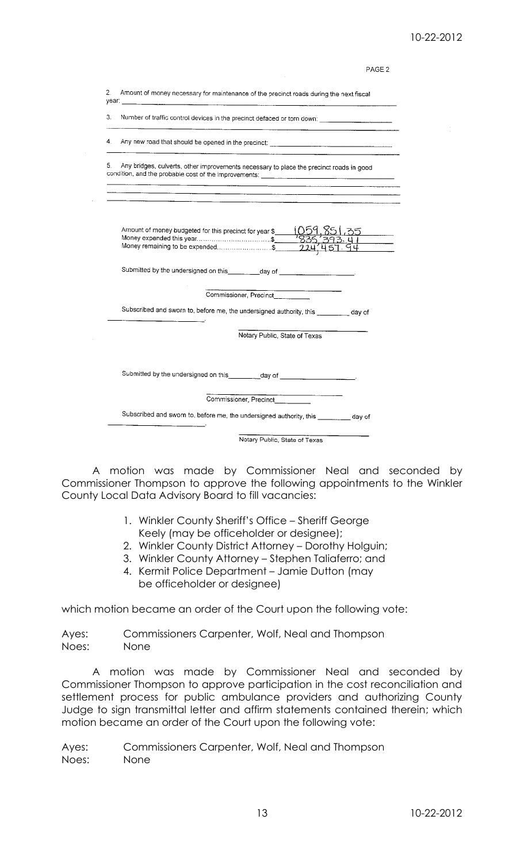# 10-22-2012

PAGE<sub>2</sub>

| 2. | Amount of money necessary for maintenance of the precinct roads during the next fiscal                                                                            |  |
|----|-------------------------------------------------------------------------------------------------------------------------------------------------------------------|--|
| 3. | Number of traffic control devices in the precinct defaced or torn down: ___________________________<br>$\overline{\phantom{a}}$                                   |  |
| 4. |                                                                                                                                                                   |  |
| 5. | Any bridges, culverts, other improvements necessary to place the precinct roads in good                                                                           |  |
|    | Amount of money budgeted for this precinct for year \$ (059, 85), 35<br>Money expended this year\$ 7835, 393. 41<br>Money remaining to be expended\$ 224, 451. 94 |  |
|    | Submitted by the undersigned on this _________day of ___________________________                                                                                  |  |
|    | Commissioner, Precinct                                                                                                                                            |  |
|    | Subscribed and sworn to, before me, the undersigned authority, this ________ day of                                                                               |  |
|    | Notary Public, State of Texas                                                                                                                                     |  |
|    | Submitted by the undersigned on this _________day of __________________________                                                                                   |  |
|    | Commissioner, Precinct                                                                                                                                            |  |
|    |                                                                                                                                                                   |  |
|    | Subscribed and sworn to, before me, the undersigned authority, this ________ day of                                                                               |  |

A motion was made by Commissioner Neal and seconded by Commissioner Thompson to approve the following appointments to the Winkler County Local Data Advisory Board to fill vacancies:

- 1. Winkler County Sheriff's Office Sheriff George Keely (may be officeholder or designee);
- 2. Winkler County District Attorney Dorothy Holguin;
- 3. Winkler County Attorney Stephen Taliaferro; and
- 4. Kermit Police Department Jamie Dutton (may be officeholder or designee)

which motion became an order of the Court upon the following vote:

Ayes: Commissioners Carpenter, Wolf, Neal and Thompson Noes: None

A motion was made by Commissioner Neal and seconded by Commissioner Thompson to approve participation in the cost reconciliation and settlement process for public ambulance providers and authorizing County Judge to sign transmittal letter and affirm statements contained therein; which motion became an order of the Court upon the following vote: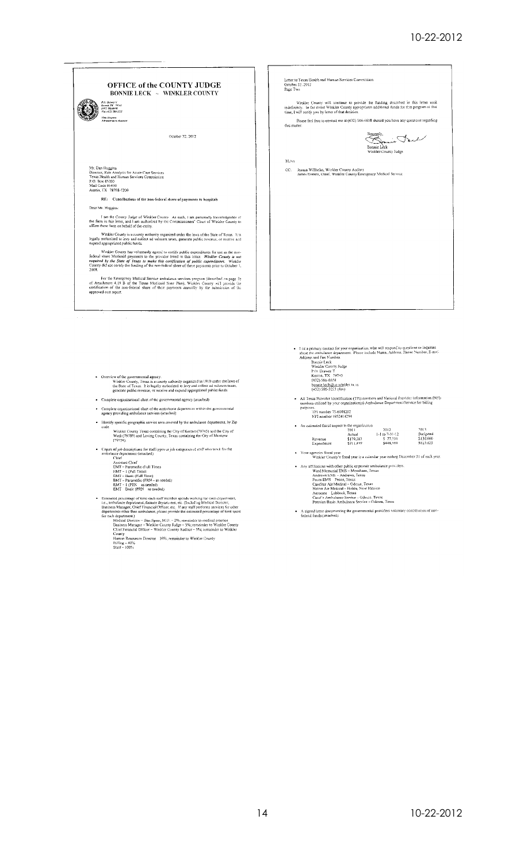| P.O. Drewer V.<br>Kernuk ITK 79745<br>1227 586-6658<br>Fax: (472) 586-3223<br>ada Sinwatod<br><b>Edministrator Avertical</b><br>October 22, 2012                                                                                                                                                                                                                                                   | Winkler County will continue to provide the funding described in this letter until<br>indefinitely. In the event Winkler County appropriates additional funds for this program at that<br>time, I will notify you by letter of that decision.<br>this matter. |
|----------------------------------------------------------------------------------------------------------------------------------------------------------------------------------------------------------------------------------------------------------------------------------------------------------------------------------------------------------------------------------------------------|---------------------------------------------------------------------------------------------------------------------------------------------------------------------------------------------------------------------------------------------------------------|
|                                                                                                                                                                                                                                                                                                                                                                                                    | Please feel free to contact me at (432) 586-6658 should you have any questions regarding                                                                                                                                                                      |
|                                                                                                                                                                                                                                                                                                                                                                                                    |                                                                                                                                                                                                                                                               |
|                                                                                                                                                                                                                                                                                                                                                                                                    | Bonnie Lèck<br>Winkler County Judge                                                                                                                                                                                                                           |
|                                                                                                                                                                                                                                                                                                                                                                                                    | <b>BLAs</b>                                                                                                                                                                                                                                                   |
| Mr. Dan Huggins<br>Director, Rate Analysis for Acute Care Services<br>Texas Health and Human Services Commission<br>P.O. Box 85200<br>Mail Code H-400<br>Austin, TX 78708-5200                                                                                                                                                                                                                     | CC: Jeanna Willhelm, Winkler County Auditor<br>James Everett, Chief, Winkler County Emergency Medical Service                                                                                                                                                 |
| RE: Contributions of the non-federal share of payments to hospitals                                                                                                                                                                                                                                                                                                                                |                                                                                                                                                                                                                                                               |
| Dear Mr. Huggins:                                                                                                                                                                                                                                                                                                                                                                                  |                                                                                                                                                                                                                                                               |
| I am the County Judge of Winkler County As such, I am personally knowledgeable of<br>the facts in this letter, and I am authorized by the Commissioners' Court of Winkler County to<br>affirm these facts on behalf of the entity.                                                                                                                                                                 |                                                                                                                                                                                                                                                               |
| Winkler County is a county authority organized under the laws of the State of Texas. It is<br>legally authorized to levy and collect ad valorem taxes, generate public revenue, or receive and<br>expend appropriated public funds.                                                                                                                                                                |                                                                                                                                                                                                                                                               |
| Winkler County has voluntarily agreed to certify public expenditures for use as the non-<br>federal share Medicaid payments to the provider listed in this letter. Winkler County is not<br>required by the State of Texas to make this certification of public expenditures. Winklut<br>County did not certify the funding of the non-federal share of these payments prior to October 1,<br>2008 |                                                                                                                                                                                                                                                               |
| For the Emergency Medical Service ambulance services program (described on page 1b<br>of Attachment 4.19 B of the Texas Medicaid State Plan), Winkler County will provide the<br>certification of the non-federal share of their payments annually by the submission of the<br>approved cost report.                                                                                               |                                                                                                                                                                                                                                                               |

- Overview of the governmental agency.<br>
Whicher County, Texas is a county suftority organized in 1910 under the laws of<br>
the State of Texas. It is legally authorized to levy and collect ad valorem taxes,<br>
generate public
- $\bullet$  . Complete organizational chart of the governmental agency (attached)
- $\label{prop:main}$  Complete organizational chart of the ambutance department within the governmental<br>agency providing ambulance services (attached)
- $\bullet$  Identify specific geographic service area covered by the ambulance department, by Zip code. Winkler County Texas containing the City of Kermit (79745) and the City of Wink (79789) and Loving County, Texas containing the City of Mentone (79754).
- Copies of poloseoniptions for staff types or job categories of staff who work for the<br>ambiblance department (attached)<br>Chief<br>Assistant Chief<br>EMT Paramedic (Full Time)<br>EMT Paramedic (Full Time)<br>EMT Basic (Full Time)<br>E
	-

- 
- 
- 
- 
- Estanded precises there is uncoused that there is the subset of the subset of the cash said fractner periods working for each cepterteent, i.e., ambiblious department, finance department, finance department, e.e. (Tanylud
	-
	-
- 1 ist a primary contact for your organization, who will respond to questions or inquiries<br>shout the ambulance department. Please include Name, Address, Pisone Number, E-mail<br>Address and Fax Number.<br>Bounie Leck<br>Wideler C
	-
	-
	-
- All Texas Provider Identification (TPI) numbers and National Provider Information (NPI) numbers utilized by your organization(s) Ambulance Department/Service for billing partness.<br>TPI number 75-6001202<br>NPI number 195241
- An estimated fiscal impact to the organization

| 2011      | 2012               | 2013      |
|-----------|--------------------|-----------|
| Actual    | $1-1$ to $7-31-12$ | Budgeted  |
| \$179.283 | \$77.310           | \$130,000 |
| \$711.499 | \$448.569          | \$823.625 |
|           |                    |           |

- Your agencies fiscal year.<br>Winkler County's fiscal year is a calendar year ending December 31 of each year.
- This could be a better and the control of the state and the control of the Williams with the public of providers.<br>
Andrews EMS Andrews Jersey States<br>
Proces EMS Peace States<br>
CareSter Air Medical Odeas, Texas<br>
Native
	-
	-
	-
	-

 $\bullet$  . A signed letter documenting the governmental providers valuatary contribution of norfolderal funds (attached).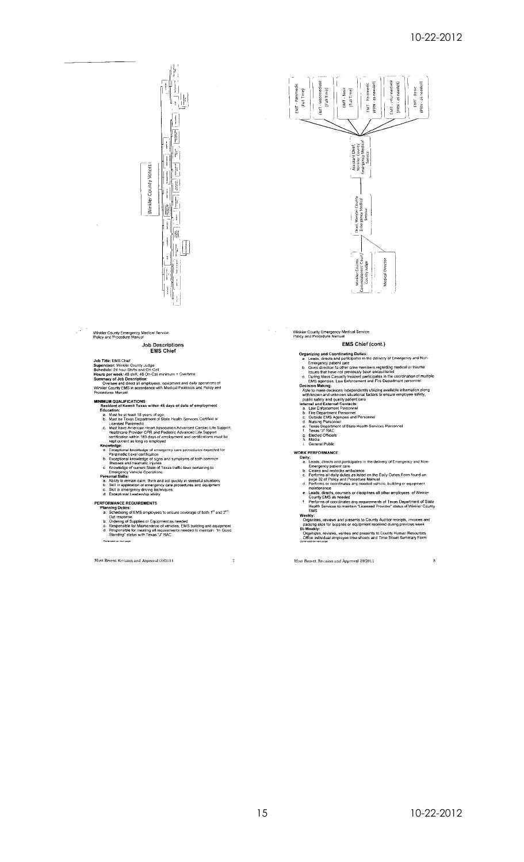

# Winkler County Emergency Medical Service<br>Policy and Procedure Manual

# Job Descriptions<br>EMS Chief

 $\chi^2$ 

Job Title: EMS Chief<br>Supervisor: Winker County Judge<br>Schedule: 24 hour Shiffs and On-Call<br>Hours per week: 48 shift, 48 On-Call<br>Summary of Job Description:<br>Summary of Job Description:<br>Summary of Job Description:<br>Winkler Cou

- MINIMUM QUALIFICATIONS<br>Resident of Kermit Texas within 45 days of date of employment
- **HIMUM QUALIFICATIONS**<br> **Resident of Kemit Texas within 45 days of date of employment**<br> **Education:**<br> **Education:**<br> **Education**<br> **C.** Must be at least 18 years of age.<br> **C.** Must he Texas Department of State Health Service
- 
- 
- 
- 
- 
- 

- 
- 
- **PERFORMANCE REQUIREMENTS**<br> **PLACE TO THE PERFORMANCE REQUIREMENTS**<br> **A.** Scheduling of EMS employees to ensure poverage of both 1<sup>t1</sup> and 2<sup>rd</sup><br> **b.** Orditesponse<br> **b.** Orditesponse<br> **c.** Responsible for Maintenance of ve

 $\sim$   $\sigma$ 

Most Recent Revision and Approval 09/2011



Winkler County Emergency Medical Service<br>Policy and Procedure Manual

 $\epsilon_{\rm{eff}}=2$ 

EMS Chief (cont.)

- 
- 
- 
- **EMS Chief (cont.)**<br> **EMS Chief (cont.)**<br>
a. Leass, directs and participates in the delivery of Emergency and Non-<br>
Energency particular care<br>
b. Gives direction to other crew members regarding medical or trauma<br>
is uses t
- 
- 
- 
- 
- 
- 
- 
- 
- 
- 
- 
- 
- 
- 
- i. Work<br>
Public<br>
WORK PERFORMANCE<br>
Daily:<br>
2. Leads, directs and participates in the delivery of Emergency and Non-<br>
Emergency patent care<br>
2. Leads, directs and participates in the delivery of Emergency and Non-<br>
Emergenc
	-
- 

Most Recent Revision and Approval 09/2011

 $\overline{\phantom{a}}$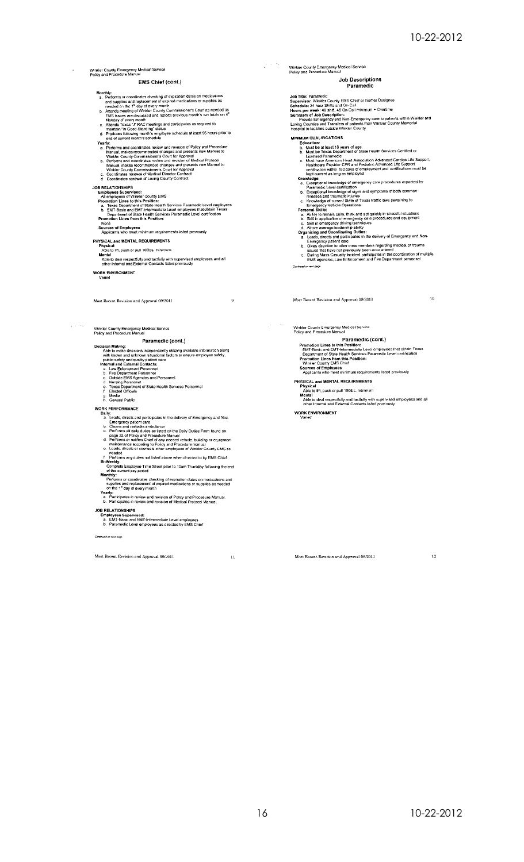$\frac{10}{2}$ 

# Winkler County Emergency Medical Service<br>Policy and Procedure Manual

#### EMS Chief (cont.)

- 
- 
- 
- **Monthly:**<br> **a.** Performs or coordinates checking of expiration dates on medications<br>
and supplies and replacement of expiration dates on medications<br>
and supplies and replacement of expiration decidations or supplies as<br>
- end of current month's schedule<br>
Yearly:<br>
The Communicate review and revision of Policy and Procedure<br>
Pearly:<br>
A Manual, makes recommended changes and presents new Manual to<br>
Whicke County Communistoner's Count for Approv
	-
	-
- 
- 

- 
- 
- Countinues reflewar of control County Counter<br>
Employees Supervised:<br>
Employees Supervised:<br>
All employees Supervised:<br>
All employees Supervised:<br>
All employees Nation:<br>
a. Texas Department of State Health Services Paramed Department of State Health Services Paramedic Level certi<br>Promotion Lines from this Position:<br>None<br>Sources of Employees<br>Applicants who meet minimum requirements issled previously
- 
- 

- 
- 
- PHYSICAL and MENTAL REQUIREMENTS<br>Physical (if), push or pull 100lbs, minimum<br>Able to lift, push or pull 100lbs, minimum<br>Able to deal respectfully and tacifully with supervised employees and all<br>other Internal and External

**WORK ENVIRONMENT**<br>Varied

 $\chi$  ,  $\chi$  ,  $\omega_{\rm g}$ 

Most Recent Revision and Approval 09/2011

# Winkler County Emergency Medical Service<br>Policy and Procedure Manual

## Paramedic (cont.)

# **Paramedic (cont.)**<br> **Paramedic (cont.)**<br>
Able to make decisions independently utilizing available information along<br>
with known and unkity patient care<br>
public safety and quality patient care<br>
thermal and External Contact

- 
- 
- 
- 
- 
- 
- 

# WORK PERFORMANCE<br>Daily:

- 
- 
- 
- 
- ORK PERFORMANCE<br>
Daily:<br>
a. Leads, directions and participates in the delivery of Emergency and Non-<br>
Leads, directions and participates in the delivery of Emergency and Non-<br>
b. Clears and restocks ambulance<br>
c. Performs
- 
- Yearly:<br>
a. Participates in review and revision of Policy and Procedure Manual<br>
b. Participates in review and revision of Medical Protocol Manual.

- **JOB RELATIONSHIPS** 
	- r rect.or rowarm<br>Employees Supervised:<br>a. EMT-Basic and EMT-Intermediate Level employees<br>b. Paramedic Level employees as directed by EMS Chief

Continued on next page

Most Recent Revision and Approval 09/2011

 $\mathbf{u}$ 

 $\varphi\in S^1$ Winkler County Emergency Medical Service<br>Policy and Procedure Manual

#### **Job Descriptions** Paramedic

- 
- Job Title: Paramedic<br>Supervisor: Winkler County EMS Chief or his/her Designee<br>Schedule: 24 hour Shifts and On-Call<br>Hours per week: 48 shift, 48 On-Call<br>Phous per week: 48 shift, 48 On-Call<br>minimum + Overline<br>Summary of Job
- 

- 
- Lowing Countes and Transless of patents from virtual<br>Hospital to faculties outside Winkier County<br>
HINIMIAUM QUALIFICATIONS<br> **E.** Must be at least 18 years of age.<br>
b. Must be at least 18 years of age.<br>
b. Must be at least
	-
	-
	- -
	-
	-
	-
	-
	-
	-
	-
- Continued on real cape

 $\mu \rightarrow \infty$ 

Most Recent Revision and Approval 09/2011

Winkler County Emergency Medical Service<br>Policy and Procedure Manual

sity and Procedure Manual<br>
Paramedic (cont.)<br>
Promotion Lines to this Position:<br>
EMT-Basic and EMT-Intermediate Level employees that obtain Texas<br>
Department of State Health Services Paramedic Level certification<br>
Winkler

PHYSICAL and MENTAL REQUIREMENTS

Most Recent Revision and Approval 09/2011

The World and The Community of Physical<br>Able to lift, push or pull 100ths, minimum<br>Mental<br>Able to deal respectfully and tactfully with supervised employees and all<br>other Internal and External Contacts listed previously

**WORK ENVIRONMENT** 

 $12$ 

 $\theta$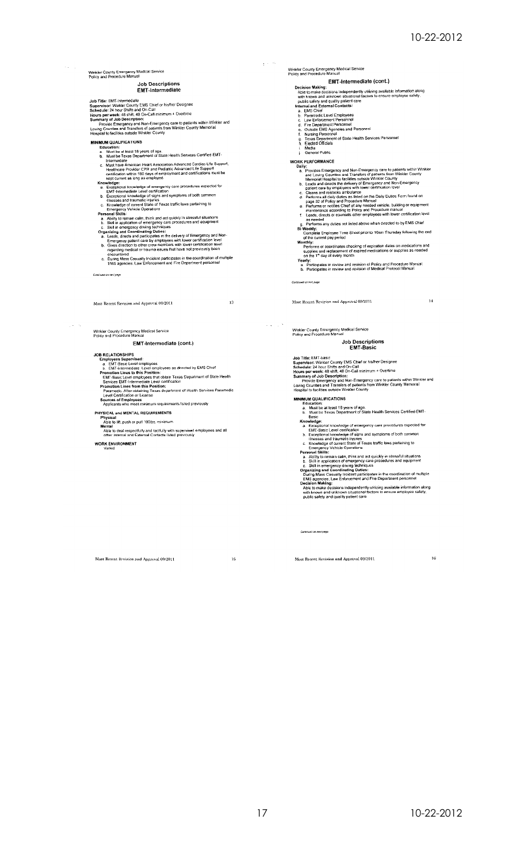# Winkler County Emergency Medical Service<br>Policy and Procedure Manual

# **Job Descriptions<br>EMT-Intermediate**

- 
- 

Job Title: EMT-Intermediate<br>Supervisor: Winkler County EMS Chief or his/her Designee<br>Schedule: 24 hour Shifts and On-Call<br>minimum + Overtime<br>House Emergency and Mon-Emergency care to patients within Winkler and<br>Provide Eme

#### **MINIMUM QUALIFICATIONS**

 $\epsilon_{\rm{max}}$ 

- 
- **NIMUM QUALIFICATIONS**<br>
Eata Must be at least 18 years of age.<br> **E.** Must be at least 18 years of age.<br> **b.** Must be at least 38 years of age.<br> **c.** Must heat menter and Heat Association Advanced Cardiac Life Support,<br>
the
- 
- 
- 
- 
- 
- 
- 
- 

EMT-Intermediate (cont.)

JOB RELATIONSHIPS<br>
a. EMT-Basic Level emptypes<br>
a. EMT-Basic Level emptypes<br>
b. EMT-Hatermediate Level emptypes as directed by EMS Chief<br>
Promotion Lines to this Position:<br>
EMT-Basic Level emptypes that obtain Texas Depart

Continued on next page

 $\mu = -\lambda \mu$ 

Most Recent Revision and Approval 09/2011

Winkler County Emergency Medical Service<br>Policy and Procedure Manual

PHYSICAL and MENTAL REQUIREMENTS

 $\sim 10^{-11}$ Winkler County Emergency Medical Service<br>Policy and Procedure Manual

 $\chi \sim 0.5$ 

Winkler County Emergency Medical Service<br>Policy and Procedure Manual

EMT-Intermediate (cont.)

**EMT-Intermediate (cont.)**<br> **EMT-Intermediate (cont.)**<br>
Able to make decisions independently utilizing available information along<br>
with known and unknown situational factors to ensure employee safety,<br>
a LibN Cohel carel

L. Media<br>
Seneral Public<br>
Seneral Public<br>
Seneral Public<br>
3. Provides Emergency and Non-Emergency care to patients within Winkler<br>
a.l.<br>
2. Provides Emergency and Non-Emergency care to attents from Winkler<br>
2. Media and

# Job Descriptions<br>EMT-Basic

Most Recent Revision and Approval 09/2011

Job Title: EMT-basic<br>Supervisor: Winkier County EMS Chief or his/her Designee<br>Schedule: 24 hour Shifts and On-Call<br>Hours per week: 48 shift, 48 On-Call<br>Summary of Job Description:<br>Summary of Job Description:<br>Summary of Job

MINIMUM QUALIFICATIONS

- 
- 
- 
- 
- 
- 
- **INMUM QUALIFICATIONS**<br>
Education:<br>
a. Must be all least 18 years of age.<br>
b. Lust the Texas Department of Slate Health Services Certified EMT-<br>
b. Lust the Texas Department of Slate Health Services capacities<br>
Exceptional
- 
- 

Continued on part name

Most Recent Revision and Approval 09/2011

 $15\,$ 

Most Recent Revision and Approval 09/2011

16

 $\overline{14}$ 

Physical<br>Able to lift, push or pull 100lbs, minimum<br>Able to lift, push or pull 100lbs, minimum<br>Able to deal respectfully and tactfully with supervised employees and all<br>other internal and External Contacts listed previousl

**WORK ENVIRONMENT** 

 $\mathbf{13}$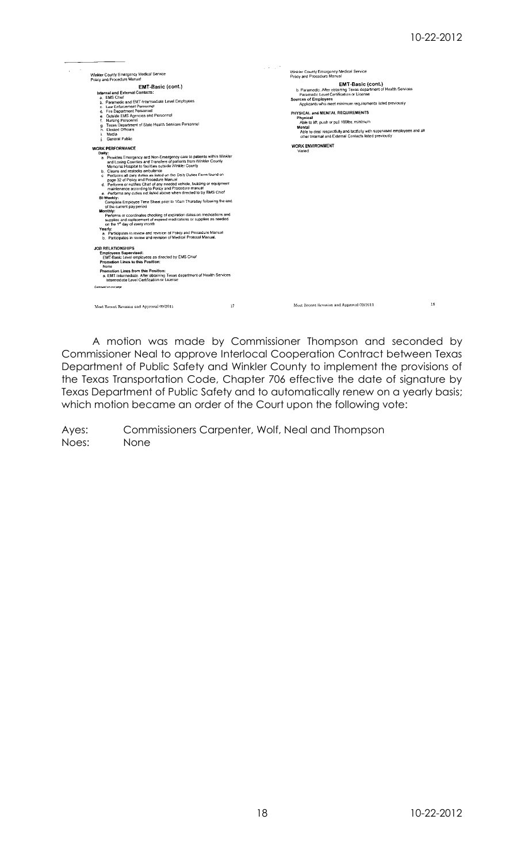| Winkler County Emergency Medical Service<br>Policy and Procedure Manual<br><b>EMT-Basic (cont.)</b><br>Internal and External Contacts:<br>a. EMS Chief<br>b. Paramedic and EMT-Intermediate Level Employees<br>c. Law Enforcement Personnel<br>d. Fire Department Personnel<br>e. Outside EMS Agencies and Personnel<br>f. Nursing Personnel<br>g. Texas Department of State Health Services Personnel<br>h Flected Officials<br>Media<br>General Public<br><b>WORK PERFORMANCE</b><br>Daily:<br>a. Provides Emergency and Non-Emergency care to patients within Winkler                                                                                                                                                                                                                                                                                                                                                                                                                       |    | a kola 7<br>Winkler County Emergency Medical Service<br>Policy and Procedure Manual<br>EMT-Basic (cont.)<br>b. Paramedic, After obtaining Texas department of Health Services<br>Paramedic Level Certification or License<br><b>Sources of Employees</b><br>Applicants who meet minimum requirements listed previously<br>PHYSICAL and MENTAL REQUIREMENTS<br>Physical<br>Able to lift, push or pull 100lbs. minimum<br>Mental<br>Able to deal respectfully and tactfully with supervised employees and all<br>other Internal and External Contacts listed previously<br><b>WORK ENVIRONMENT</b><br>Varied |    |
|------------------------------------------------------------------------------------------------------------------------------------------------------------------------------------------------------------------------------------------------------------------------------------------------------------------------------------------------------------------------------------------------------------------------------------------------------------------------------------------------------------------------------------------------------------------------------------------------------------------------------------------------------------------------------------------------------------------------------------------------------------------------------------------------------------------------------------------------------------------------------------------------------------------------------------------------------------------------------------------------|----|------------------------------------------------------------------------------------------------------------------------------------------------------------------------------------------------------------------------------------------------------------------------------------------------------------------------------------------------------------------------------------------------------------------------------------------------------------------------------------------------------------------------------------------------------------------------------------------------------------|----|
| and Loving Counties and Transfers of patients from Winkler County<br>Memorial Hospital to facilities outside Winkler County<br>b. Cleans and restocks ambulance<br>c Performs all daily duties as listed on the Daily Duties Form found on<br>page 32 of Policy and Procedure Manual<br>d. Performs or notifies Chief of any needed vehicle, building or equipment<br>maintenance according to Policy and Procedure manual<br>e. Performs any duties not listed above when directed to by EMS Chief<br>Bi-Weekly:<br>Complete Employee Time Sheet prior to 10am Thursday following the end<br>of the current pay period<br>Monthly:<br>Performs or coordinates checking of expiration dates on medications and<br>supplies and replacement of expired medications or supplies as needed<br>on the 1 <sup>st</sup> day of every month<br>Yearly:<br>a. Participates in review and revision of Policy and Procedure Manual<br>b. Participates in review and revision of Medical Protocol Manual. |    |                                                                                                                                                                                                                                                                                                                                                                                                                                                                                                                                                                                                            |    |
| <b>JOB RELATIONSHIPS</b><br><b>Employees Supervised:</b><br>EMT-Basic Level employees as directed by EMS Chief<br>Promotion Lines to this Position:<br>None<br>Promotion Lines from this Position:<br>a. EMT-Intermediate. After obtaining Texas department of Health Services<br>Intermediate Level Certification or License<br>Continued on next page                                                                                                                                                                                                                                                                                                                                                                                                                                                                                                                                                                                                                                        |    |                                                                                                                                                                                                                                                                                                                                                                                                                                                                                                                                                                                                            |    |
| Most Recent Revision and Approval 09/2011                                                                                                                                                                                                                                                                                                                                                                                                                                                                                                                                                                                                                                                                                                                                                                                                                                                                                                                                                      | 17 | Most Recent Revision and Approval 09/2011                                                                                                                                                                                                                                                                                                                                                                                                                                                                                                                                                                  | 18 |

A motion was made by Commissioner Thompson and seconded by Commissioner Neal to approve Interlocal Cooperation Contract between Texas Department of Public Safety and Winkler County to implement the provisions of the Texas Transportation Code, Chapter 706 effective the date of signature by Texas Department of Public Safety and to automatically renew on a yearly basis; which motion became an order of the Court upon the following vote: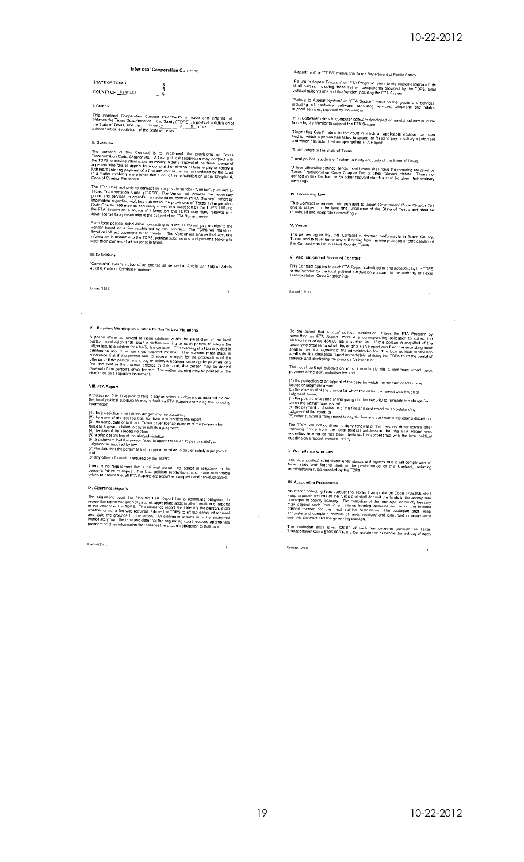$\bar{2}$ 

# Interlocal Cooperation Contract

STATE OF TEXAS e<br>S COUNTY OF **ELIKLER** 

## 1. Parties

This Interlocal Cooperation Contract ("Contract") is made and entered into between the Texas Department of Public Safety ("TDPS"), a political subdivision of the State of Texas, and the  $\frac{C_{0.011}y}{C_{0.011}y}$  of  $\frac{W_{$ 

#### II. Overview

The purpose of this Contract is to implement the provisions of Texas<br>Transportation Code Chapter 706. A local political subdivision may contract with<br>the TDPS to provide information necessary to deny renewal of the driver

The TDPS has authority to contract with a private vendor ("Vendor") pursuant to<br>Texas Transportation Code §706.008. The Vendor will provide the necessary<br>groots and services to establish an automated system (\*FTA System")

Each local political subdivision contracting with the TDPs will pay monies to the<br>Vendor based on a fee established by this Contract. The TDPS will make no<br>direct or indirect payments to the Vendor. The Vendor will ensure

#### III. Definitions

"Complaint" means notice of an offense as defined in Article 27 14(d) or Article<br>45.019, Code of Criminal Procedure

Revised (12/11)

## VII. Required Warning on Citation for Traffic Law Violatic

A peace officer authorized to issue challens within the piracletion of the local political subdivision shall issue a written warning to each person to whom the addition to any other warning sequired by law. The warning st

#### **VIII. FTA Report**

If the person fails to appear or fails to pay or satisfy a judgment as required by law.<br>the local political subdivision may submit an FTA Report containing the following<br>information:

(1) the jurisdiction in which the alleged offorase occurred,<br>(2) the name of the local political subdivision submitting the report;<br>(3) the name, date of birth and Tsuddivision submitting the report;<br>(3) the name, date of

anu<br>(8) any other information required by the TDPS

There is no requirement that a criminal warrant be issued in response to the<br>person's failure to appear. The local political subdivision must make reasonable<br>efforts to ensure that all FTA Reports are accurate, completo an

# IX, Clearance Reports

In consumer the principle and the FIA Report has a continuing obligation to review the report and promptly submit appropriate additional information or reports to the Vendor or the TDPS. The clearance report shall identify

Revised (12/11)

"Department" or "TDPS" means the Texas Department of Public Safety.

"Failure to Appear Program" or "FTA Program" refers to the implementation efforts<br>of all parties, including those system components provided by the TDPS, local<br>political subdivisions and the Vendor, including the FTA Syste

"Failure to Appear System" or "FTA System" refers to the goods and scivices, including all hardware, software, consulting services, telephone and related

"FTA Software" refers to computer software developed or maintained now or in the<br>future by the Vendor to support the FTA System.

"Originating Court" refers to the court in which an applicable violation has been<br>fried for which a person has failed to appear or failed to pay or satisfy a judgment<br>and which has submitted an appropriate FTA Report.

"Slate" refers to the State of Texas.

"Local political subdivision" refers to a city or county of the State of Te Unless otherwise defined, terms used herein shall have the meaning assigned<br>Texas Transportation Code Chapter 706 or other relevant statute. Terms<br>defined in this Contract or by other relevant statutes shall be given their

#### IV. Governing Law

This Contract is entered into pursuant to Texas Government Code Chapter 791<br>and is subject to the laws and jurisdiction of the State of Texas and shall be<br>construed and interpreted accordingly.

#### V. Venue

The parties agree that this Contract is deemed performable in Travis County,<br>Texas, and that venue for any suit arising from the interpretation or enforcement of<br>this Contract shall lie in Travis County, Texas,

## VI. Application and Scope of Contract

This Contract applies to each FTA Report submitted to and accepted by the TDPS<br>or the Vendor by the local political subdivision pursuant to the authority of Texas<br>Transportation Code Chapter 706

Revised (12/11)

To the extent that a local political subdivision utilizes the FTA Program by<br>submitting an FTA Report, there is a corresponding collgation to collect the<br>statutorily required \$30.00 administrative lee. If the person is ac

The local political subdivision must immediately file a clearance report upon<br>payment of the administrative fee and:

(1) the perfection of an appeal of the case for which the warrant of arrest was<br>issued or judgment arose;<br>(2) the distribution data that charge for which the warrant of arrest was issued or<br>(2) the distribution of a bond

The TDPS will not continue to dany renewal of the person's driver license after receiving notice from the local political subdivision, that the FTA Report was submitted in error or has been destroyed in accordance with the

#### X. Compliance with Law

The local political subdivision understands and agrees that it will comply with all<br>local, state and federal laws in the performance of this Contract, including<br>administrative rules adopted by the TDPS.

#### XI. Accounting Procedures

An officer collecting leas pursuant to Texas Transportation Code  $\S$ 706.006 shall<br>keep separate records of the funds and shall deposit the funds in the appropriate<br>municipal or coontly treasury. The custodian of the munic

The custodian shall remit \$20.00 of each fee collected pursuant to Texas<br>Transportation Code §706.006 to the Comptroller on or before the last day of each

Revised (12/11)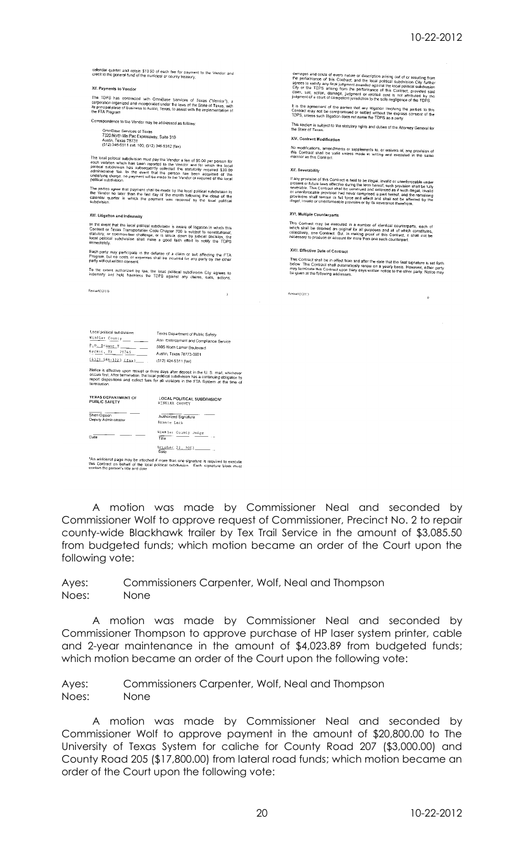calendar quarter and retain \$10.00 of each fee for payment to the Vendor and<br>creditito the general fund of the municipal or county treasury.

#### XII. Payments to Vendor

The TDPS has contracted with OmniBase Sarvices of Texas ("Vendor").<br>corporation organized and incorporated under the laws of the State of Texas, w<br>its principal place of business in Austin, Texas, to assist with the implem

Correspondence to the Vendor may be addressed as follows: OmniBase Services of Texas<br>7320 North Mo Pac Expressway, Suite 310<br>Austin, Texas 78731<br>(512) 346-6511 ext. 100; (512) 346-9312 (fax)

The local political subdivision must pay the Vendor a (ee of \$6.00 per person for each violation which has been reported to the Vendor and for which the local political subdivision has subsequently collected the statistor

The parties agree that payment shall be made by the local political subdivision for<br>the Vendor no later than the fast day of the month following the close of the<br>calendar quarter in which the payment was received by the lo

XIII. Litigation and Indemnity

Revised (12/11)

In the event that the local political subdivision is aware of litigation in which this Contract or Texas Transportation Code Chapter 706 is subject to constitutional, statutory, or common-law challenge, or is struck down b

Each party may participate in the defense of a claim or suit affecting the FTA<br>Program, but no costs or expenses shall be incurred for any party by the other<br>party without written consent

To the extent authorized by law, the local political subdivision City agrees to<br>indemnify and hold harmless the TDPS against any claims, suits, actions,

damages and costs of every nature or description arising out of or resulting from<br>the performance of this Contract, and the local political subdivision City further<br>approximation of this Contract, and the local political

It is the agreement of the parties that any litigation involving the parties to this Contract may not be compromised or settled without the express consent of the TDPS, unless such litigation does not name the TDPS as a pa

This section is subject to the statutory rights and duties of the Attorney General for

XIV. Contract Modification

No modifications, amendments or supplements to, or waivers of, any provision of<br>this Contract shall be valid unless made in writing and executed in the same<br>manner as this Confract.

XV. Soverability

The provision of this Contract is held to be illeged, invisid or unenforceable under<br>present or future laws effective during the term hereof, such provision shall be full<br>preverable. This Contract shall be construed and en

XVI. Multiple Counterparts

This Contract may be executed in a number of identical counterparts, each of<br>which shall be deemed an original for all purposes and all of which constitutes,<br>collectively, one Contract. But, in making proof of this Contrac

XVII. Effective Date of Contract

This Contract shall be in effect from and after the date that the final signature is set forth<br>bolow This Contract shall automatically renew on a yearly basis. However, either party<br>may terminate this Contract upon thirty

Revised (12/11)

t.ocal political subdivision Texas Department of Public Safety **Examplemental surface of Public Safety<br>
The County County County and Complement and Complement County<br>
Problem Service County Service Service Service Service Service Service Service Service Service Service Service Servic** 

Notice is effective upon recept or three days after deposit in the U. S. mail, whichever<br>occurs first. After termination, the local political subdivision has a continuing obligation to<br>report dispositions and collect fees

TEXAS DEPARTMENT OF LOCAL POLITICAL SUBDIVISION\*<br>PUBLIC SAFETY WENTLER COUNTY Sheri Gipson<br>Deputy Administrator Authorized Signature  $\frac{\text{Winkler}}{\text{Time}} \cdot \frac{\text{Country bulge}}{\text{100}} \cdot \ldots$  $$ nate<sup>1</sup>  $\frac{0 \text{ clocker}}{0 \text{ at } 2}$   $\frac{22}{12012}$ 

\*An additional page may be attoched if more than one signature is required to execute<br>this Contract on bohalf of the local political subdivision. Each signature block must<br>contain the person's title and date

A motion was made by Commissioner Neal and seconded by Commissioner Wolf to approve request of Commissioner, Precinct No. 2 to repair county-wide Blackhawk trailer by Tex Trail Service in the amount of \$3,085.50 from budgeted funds; which motion became an order of the Court upon the following vote:

Commissioners Carpenter, Wolf, Neal and Thompson Ayes: Noes: None

A motion was made by Commissioner Neal and seconded by Commissioner Thompson to approve purchase of HP laser system printer, cable and 2-year maintenance in the amount of \$4,023.89 from budgeted funds; which motion became an order of the Court upon the following vote:

Commissioners Carpenter, Wolf, Neal and Thompson Ayes: Noes: **None** 

A motion was made by Commissioner Neal and seconded by Commissioner Wolf to approve payment in the amount of \$20,800.00 to The University of Texas System for caliche for County Road 207 (\$3,000.00) and County Road 205 (\$17,800.00) from lateral road funds; which motion became an order of the Court upon the following vote: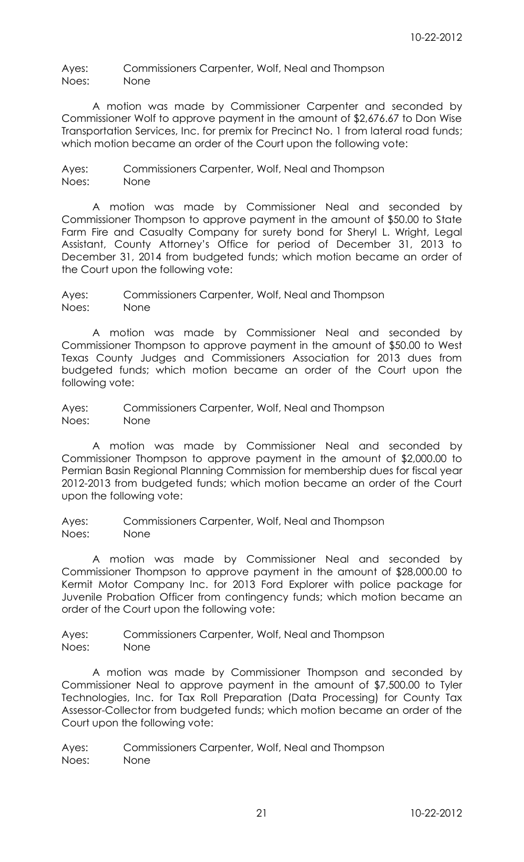Ayes: Commissioners Carpenter, Wolf, Neal and Thompson Noes: None

A motion was made by Commissioner Carpenter and seconded by Commissioner Wolf to approve payment in the amount of \$2,676.67 to Don Wise Transportation Services, Inc. for premix for Precinct No. 1 from lateral road funds; which motion became an order of the Court upon the following vote:

Ayes: Commissioners Carpenter, Wolf, Neal and Thompson Noes: None

A motion was made by Commissioner Neal and seconded by Commissioner Thompson to approve payment in the amount of \$50.00 to State Farm Fire and Casualty Company for surety bond for Sheryl L. Wright, Legal Assistant, County Attorney's Office for period of December 31, 2013 to December 31, 2014 from budgeted funds; which motion became an order of the Court upon the following vote:

Ayes: Commissioners Carpenter, Wolf, Neal and Thompson Noes: None

A motion was made by Commissioner Neal and seconded by Commissioner Thompson to approve payment in the amount of \$50.00 to West Texas County Judges and Commissioners Association for 2013 dues from budgeted funds; which motion became an order of the Court upon the following vote:

Ayes: Commissioners Carpenter, Wolf, Neal and Thompson Noes: None

A motion was made by Commissioner Neal and seconded by Commissioner Thompson to approve payment in the amount of \$2,000.00 to Permian Basin Regional Planning Commission for membership dues for fiscal year 2012-2013 from budgeted funds; which motion became an order of the Court upon the following vote:

Ayes: Commissioners Carpenter, Wolf, Neal and Thompson Noes: None

A motion was made by Commissioner Neal and seconded by Commissioner Thompson to approve payment in the amount of \$28,000.00 to Kermit Motor Company Inc. for 2013 Ford Explorer with police package for Juvenile Probation Officer from contingency funds; which motion became an order of the Court upon the following vote:

Ayes: Commissioners Carpenter, Wolf, Neal and Thompson Noes: None

A motion was made by Commissioner Thompson and seconded by Commissioner Neal to approve payment in the amount of \$7,500.00 to Tyler Technologies, Inc. for Tax Roll Preparation (Data Processing) for County Tax Assessor-Collector from budgeted funds; which motion became an order of the Court upon the following vote: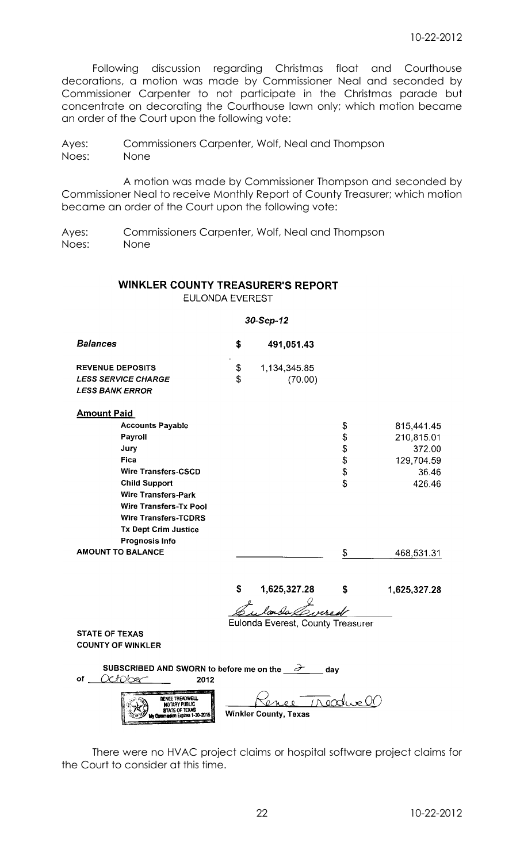Following discussion regarding Christmas float and Courthouse decorations, a motion was made by Commissioner Neal and seconded by Commissioner Carpenter to not participate in the Christmas parade but concentrate on decorating the Courthouse lawn only; which motion became an order of the Court upon the following vote:

Ayes: Commissioners Carpenter, Wolf, Neal and Thompson Noes: None

A motion was made by Commissioner Thompson and seconded by Commissioner Neal to receive Monthly Report of County Treasurer; which motion became an order of the Court upon the following vote:

Ayes: Commissioners Carpenter, Wolf, Neal and Thompson Noes: None

# **WINKLER COUNTY TREASURER'S REPORT**

**EULONDA EVEREST** 

# 30-Sep-12

| Balances                                              | S            | 491,051.43              |
|-------------------------------------------------------|--------------|-------------------------|
| <b>REVENUE DEPOSITS</b><br><i>LESS SERVICE CHARGE</i> | ٠<br>S.<br>S | 1,134,345.85<br>(70.00) |
| <i>LESS BANK ERROR</i>                                |              |                         |

# **Amount Paid**

| ---------------               |    |            |
|-------------------------------|----|------------|
| <b>Accounts Payable</b>       | \$ | 815,441.45 |
| Payroll                       | \$ | 210,815.01 |
| Jury                          | \$ | 372.00     |
| Fica                          | \$ | 129,704.59 |
| <b>Wire Transfers-CSCD</b>    | \$ | 36.46      |
| <b>Child Support</b>          | \$ | 426.46     |
| <b>Wire Transfers-Park</b>    |    |            |
| <b>Wire Transfers-Tx Pool</b> |    |            |
| <b>Wire Transfers-TCDRS</b>   |    |            |
| <b>Tx Dept Crim Justice</b>   |    |            |
| <b>Prognosis Info</b>         |    |            |
| <b>AMOUNT TO BALANCE</b>      | \$ | 468,531.31 |
|                               |    |            |

1,625,327.28 \$ \$ 1,625,327.28

landa Covered

Eulonda Everest, County Treasurer

**STATE OF TEXAS COUNTY OF WINKLER** 

| of | SUBSCRIBED AND SWORN to before me on the<br>2012                                                                                                                                                                                                                                                                                                                              | dav                          |
|----|-------------------------------------------------------------------------------------------------------------------------------------------------------------------------------------------------------------------------------------------------------------------------------------------------------------------------------------------------------------------------------|------------------------------|
|    | ,,,,,,,,,,,,,,,,,,,,,,,,,,,,,,,,<br><b>RENEE TREADWELL</b><br>NOTARY PUBLIC<br><b>V</b><br><b>My Commission</b> Expires 1-30-2015<br>+ <del>2010 11:00 11:00 11:00 11:00 12:00 12:00 12:00 12:00 12:00 12:00 12:00 12:00 12:00 12:00 12:00 12:00 12:00 12:00 12:00 12:00 12:00 12:00 12:00 12:00 12:00 12:00 12:00 12:00 12:00 12:00 12:00 12:00 12:00 12:00 12:00 12:0</del> | <b>Winkler County, Texas</b> |

There were no HVAC project claims or hospital software project claims for the Court to consider at this time.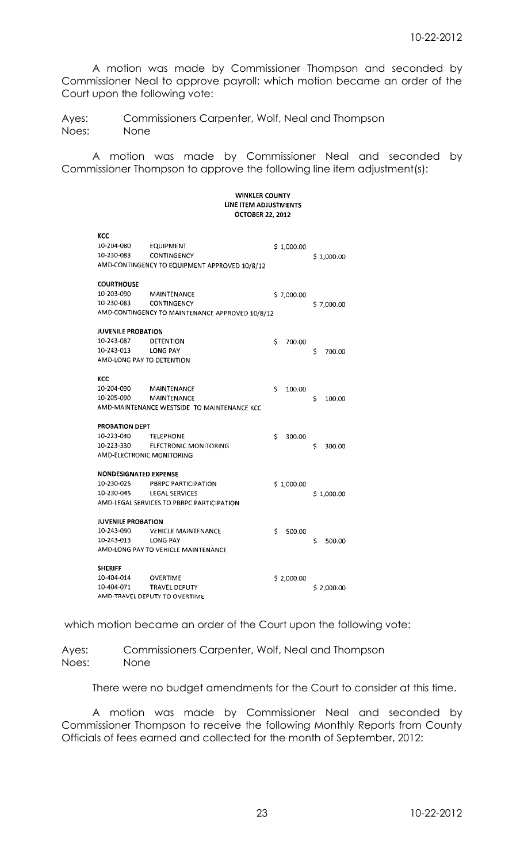A motion was made by Commissioner Thompson and seconded by Commissioner Neal to approve payroll; which motion became an order of the Court upon the following vote:

Ayes: Commissioners Carpenter, Wolf, Neal and Thompson Noes: None

A motion was made by Commissioner Neal and seconded by Commissioner Thompson to approve the following line item adjustment(s):

## **WINKLER COUNTY** LINE ITEM ADJUSTMENTS **OCTOBER 22, 2012**

| ксс                          |                                                 |              |              |
|------------------------------|-------------------------------------------------|--------------|--------------|
| 10-204-080                   | EQUIPMENT                                       | \$1,000.00   |              |
| 10-230-083                   | <b>CONTINGENCY</b>                              |              | \$1,000.00   |
|                              | AMD-CONTINGENCY TO EQUIPMENT APPROVED 10/8/12   |              |              |
|                              |                                                 |              |              |
| <b>COURTHOUSE</b>            |                                                 |              |              |
| 10-203-090                   | MAINTENANCE                                     | \$7,000.00   |              |
| 10-230-083                   | <b>CONTINGENCY</b>                              |              | \$7,000.00   |
|                              | AMD-CONTINGENCY TO MAINTENANCE APPROVED 10/8/12 |              |              |
| <b>JUVENILE PROBATION</b>    |                                                 |              |              |
| 10-243-087                   | DETENTION                                       | Ś<br>700.00  |              |
| 10-243-013                   | LONG PAY                                        |              | \$<br>700.00 |
| AMD-LONG PAY TO DETENTION    |                                                 |              |              |
|                              |                                                 |              |              |
| KCC                          |                                                 |              |              |
| 10-204-090                   | <b>MAINTENANCE</b>                              | \$<br>100.00 |              |
| 10-205-090                   | <b>MAINTENANCE</b>                              |              | Ś<br>100.00  |
|                              | AMD-MAINTENANCE WESTSIDE TO MAINTENANCE KCC     |              |              |
|                              |                                                 |              |              |
| PROBATION DEPT               |                                                 |              |              |
| 10-223-040                   | <b>TELEPHONE</b>                                | Ś<br>300.00  |              |
| 10-223-330                   | <b>ELECTRONIC MONITORING</b>                    |              | Ś<br>300.00  |
| AMD-ELECTRONIC MONITORING    |                                                 |              |              |
| <b>NONDESIGNATED EXPENSE</b> |                                                 |              |              |
| 10-230-025                   | PBRPC PARTICIPATION                             | \$1,000.00   |              |
| 10-230-045                   | <b>LEGAL SERVICES</b>                           |              | \$1,000.00   |
|                              | AMD-LEGAL SERVICES TO PBRPC PARTICIPATION       |              |              |
|                              |                                                 |              |              |
| <b>JUVENILE PROBATION</b>    |                                                 |              |              |
| 10-243-090                   | <b>VEHICLE MAINTENANCE</b>                      | Ś<br>500.00  |              |
| 10-243-013                   | LONG PAY                                        |              | \$<br>500.00 |
|                              | AMD-LONG PAY TO VEHICLE MAINTENANCE             |              |              |
|                              |                                                 |              |              |
| <b>SHERIFF</b>               |                                                 |              |              |
| 10-404-014                   | <b>OVERTIME</b>                                 | \$2,000.00   |              |
| 10-404-071                   | <b>TRAVEL DEPUTY</b>                            |              | \$2,000.00   |
|                              | AMD-TRAVEL DEPUTY TO OVERTIME                   |              |              |

which motion became an order of the Court upon the following vote:

Ayes: Commissioners Carpenter, Wolf, Neal and Thompson Noes: None

There were no budget amendments for the Court to consider at this time.

A motion was made by Commissioner Neal and seconded by Commissioner Thompson to receive the following Monthly Reports from County Officials of fees earned and collected for the month of September, 2012: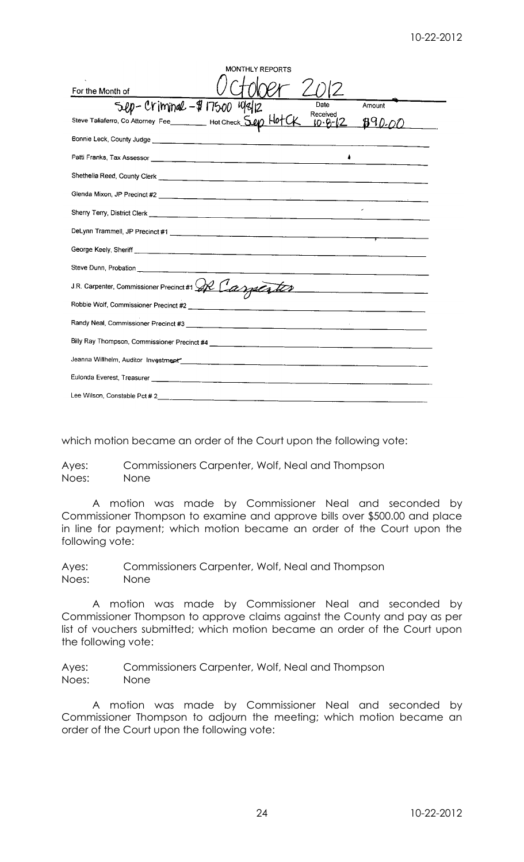|                                                                                                                                                                                                                                      | <b>MONTHLY REPORTS</b>                                                                                           |
|--------------------------------------------------------------------------------------------------------------------------------------------------------------------------------------------------------------------------------------|------------------------------------------------------------------------------------------------------------------|
| For the Month of                                                                                                                                                                                                                     |                                                                                                                  |
|                                                                                                                                                                                                                                      | Date<br>Amount                                                                                                   |
| Sup-Criminal - \$17500 19812<br>Steve Taliaferro, Co Attorney Fee Hot Check Sup Hot                                                                                                                                                  | Received<br>890.                                                                                                 |
|                                                                                                                                                                                                                                      |                                                                                                                  |
|                                                                                                                                                                                                                                      |                                                                                                                  |
|                                                                                                                                                                                                                                      |                                                                                                                  |
|                                                                                                                                                                                                                                      |                                                                                                                  |
|                                                                                                                                                                                                                                      |                                                                                                                  |
|                                                                                                                                                                                                                                      |                                                                                                                  |
|                                                                                                                                                                                                                                      |                                                                                                                  |
|                                                                                                                                                                                                                                      |                                                                                                                  |
| J.R. Carpenter, Commissioner Precinct #1 QR Carpenter                                                                                                                                                                                |                                                                                                                  |
|                                                                                                                                                                                                                                      |                                                                                                                  |
|                                                                                                                                                                                                                                      |                                                                                                                  |
|                                                                                                                                                                                                                                      |                                                                                                                  |
|                                                                                                                                                                                                                                      | Jeanna Willhelm, Auditor Investment Communication of the Communication of the Communication of the Communication |
| Eulonda Everest, Treasurer <b>Antiquistic According to the Control of the Control of the Control of the Control of Control of the Control of Text According to the Control of the Control of the Control of the Control of the C</b> |                                                                                                                  |
|                                                                                                                                                                                                                                      |                                                                                                                  |

which motion became an order of the Court upon the following vote:

Ayes: Commissioners Carpenter, Wolf, Neal and Thompson Noes: None

A motion was made by Commissioner Neal and seconded by Commissioner Thompson to examine and approve bills over \$500.00 and place in line for payment; which motion became an order of the Court upon the following vote:

Ayes: Commissioners Carpenter, Wolf, Neal and Thompson Noes: None

A motion was made by Commissioner Neal and seconded by Commissioner Thompson to approve claims against the County and pay as per list of vouchers submitted; which motion became an order of the Court upon the following vote:

Ayes: Commissioners Carpenter, Wolf, Neal and Thompson Noes: None

A motion was made by Commissioner Neal and seconded by Commissioner Thompson to adjourn the meeting; which motion became an order of the Court upon the following vote: